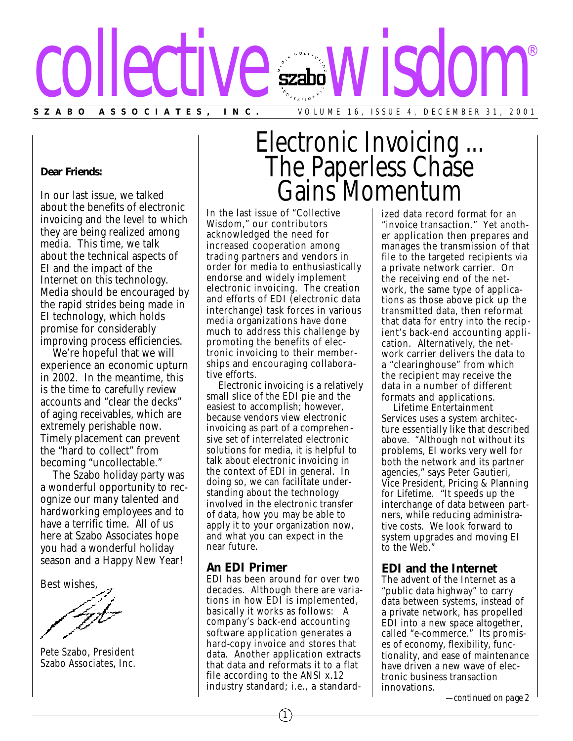

**Dear Friends:**

In our last issue, we talked about the benefits of electronic invoicing and the level to which they are being realized among media. This time, we talk about the technical aspects of EI and the impact of the Internet on this technology. Media should be encouraged by the rapid strides being made in EI technology, which holds promise for considerably improving process efficiencies.

We're hopeful that we will experience an economic upturn in 2002. In the meantime, this is the time to carefully review accounts and "clear the decks" of aging receivables, which are extremely perishable now. Timely placement can prevent the "hard to collect" from becoming "uncollectable."

The Szabo holiday party was a wonderful opportunity to recognize our many talented and hardworking employees and to have a terrific time. All of us here at Szabo Associates hope you had a wonderful holiday season and a Happy New Year!

Best wishes,

Pete Szabo, President Szabo Associates, Inc.

# Electronic Invoicing ... The Paperless Chase Gains Momentum

In the last issue of "Collective Wisdom," our contributors acknowledged the need for increased cooperation among trading partners and vendors in order for media to enthusiastically endorse and widely implement electronic invoicing. The creation and efforts of EDI (electronic data interchange) task forces in various media organizations have done much to address this challenge by promoting the benefits of electronic invoicing to their memberships and encouraging collaborative efforts.

Electronic invoicing is a relatively small slice of the EDI pie and the easiest to accomplish; however, because vendors view electronic invoicing as part of a comprehensive set of interrelated electronic solutions for media, it is helpful to talk about electronic invoicing in the context of EDI in general. In doing so, we can facilitate understanding about the technology involved in the electronic transfer of data, how you may be able to apply it to your organization now, and what you can expect in the near future.

### **An EDI Primer**

EDI has been around for over two decades. Although there are variations in how EDI is implemented, basically it works as follows: A company's back-end accounting software application generates a hard-copy invoice and stores that data. Another application extracts that data and reformats it to a flat file according to the ANSI x.12 industry standard; i.e., a standard-

1

ized data record format for an "invoice transaction." Yet another application then prepares and manages the transmission of that file to the targeted recipients via a private network carrier. On the receiving end of the network, the same type of applications as those above pick up the transmitted data, then reformat that data for entry into the recipient's back-end accounting application. Alternatively, the network carrier delivers the data to a "clearinghouse" from which the recipient may receive the data in a number of different formats and applications.

Lifetime Entertainment Services uses a system architecture essentially like that described above. "Although not without its problems, EI works very well for both the network and its partner agencies," says Peter Gautieri, Vice President, Pricing & Planning for Lifetime. "It speeds up the interchange of data between partners, while reducing administrative costs. We look forward to system upgrades and moving EI to the Web."

# **EDI and the Internet**

The advent of the Internet as a "public data highway" to carry data between systems, instead of a private network, has propelled EDI into a new space altogether, called "e-commerce." Its promises of economy, flexibility, functionality, and ease of maintenance have driven a new wave of electronic business transaction innovations.

*—continued on page 2*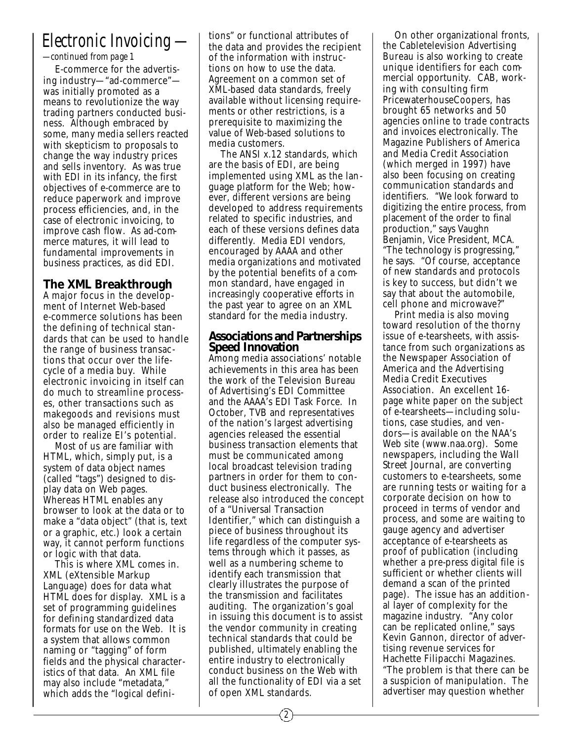# *Electronic Invoicing —*

*—continued from page 1*

E-commerce for the advertising industry—"ad-commerce" was initially promoted as a means to revolutionize the way trading partners conducted business. Although embraced by some, many media sellers reacted with skepticism to proposals to change the way industry prices and sells inventory. As was true with EDI in its infancy, the first objectives of e-commerce are to reduce paperwork and improve process efficiencies, and, in the case of electronic invoicing, to improve cash flow. As ad-commerce matures, it will lead to fundamental improvements in business practices, as did EDI.

# **The XML Breakthrough**

A major focus in the development of Internet Web-based e-commerce solutions has been the defining of technical standards that can be used to handle the range of business transac tions that occur over the lifecycle of a media buy. While electronic invoicing in itself can do much to streamline processes, other transactions such as makegoods and revisions must also be managed efficiently in order to realize EI's potential.

Most of us are familiar with HTML, which, simply put, is a system of data object names (called "tags") designed to display data on Web pages. Whereas HTML enables any browser to look at the data or to make a "data object" (that is, text or a graphic, etc.) look a certain way, it cannot perform functions or logic with that data.

This is where XML comes in. XML (eXtensible Markup Language) does for data what HTML does for display. XML is a set of programming guidelines for defining standardized data formats for use on the Web. It is a system that allows common naming or "tagging" of form fields and the physical characteristics of that data. An XML file may also include "metadata," which adds the "logical definitions" or functional attributes of the data and provides the recipient of the information with instructions on how to use the data. Agreement on a common set of XML-based data standards, freely available without licensing requirements or other restrictions, is a prerequisite to maximizing the value of Web-based solutions to media customers.

The ANSI x.12 standards, which are the basis of EDI, are being implemented using XML as the language platform for the Web; however, different versions are being developed to address requirements related to specific industries, and each of these versions defines data differently. Media EDI vendors, encouraged by AAAA and other media organizations and motivated by the potential benefits of a common standard, have engaged in increasingly cooperative efforts in the past year to agree on an XML standard for the media industry.

#### **Associations and Partnerships Speed Innovation**

Among media associations' notable achievements in this area has been the work of the Television Bureau of Advertising's EDI Committee and the AAAA's EDI Task Force. In October, TVB and representatives of the nation's largest advertising agencies released the essential business transaction elements that must be communicated among local broadcast television trading partners in order for them to conduct business electronically. The release also introduced the concept of a "Universal Transaction Identifier," which can distinguish a piece of business throughout its life regardless of the computer systems through which it passes, as well as a numbering scheme to identify each transmission that clearly illustrates the purpose of the transmission and facilitates auditing. The organization's goal in issuing this document is to assist the vendor community in creating technical standards that could be published, ultimately enabling the entire industry to electronically conduct business on the Web with all the functionality of EDI via a set of open XML standards.

On other organizational fronts, the Cabletelevision Advertising Bureau is also working to create unique identifiers for each commercial opportunity. CAB, working with consulting firm PricewaterhouseCoopers, has brought 65 networks and 50 agencies online to trade contracts and invoices electronically. The Magazine Publishers of America and Media Credit Association (which merged in 1997) have also been focusing on creating communication standards and identifiers. "We look forward to digitizing the entire process, from placement of the order to final production," says Vaughn Benjamin, Vice President, MCA. "The technology is progressing," he says. "Of course, acceptance of new standards and protocols is key to success, but didn't we say that about the automobile, cell phone and microwave?"

Print media is also moving toward resolution of the thorny issue of e-tearsheets, with assistance from such organizations as the Newspaper Association of America and the Advertising Media Credit Executives Association. An excellent 16 page white paper on the subject of e-tearsheets—including solutions, case studies, and vendors—is available on the NAA's Web site (www.naa.org). Some newspapers, including the *Wall Street Journal*, are converting customers to e-tearsheets, some are running tests or waiting for a corporate decision on how to proceed in terms of vendor and process, and some are waiting to gauge agency and advertiser acceptance of e-tearsheets as proof of publication (including whether a pre-press digital file is sufficient or whether clients will demand a scan of the printed page). The issue has an additional layer of complexity for the magazine industry. "Any color can be replicated online," says Kevin Gannon, director of advertising revenue services for Hachette Filipacchi Magazines. "The problem is that there can be a suspicion of manipulation. The advertiser may question whether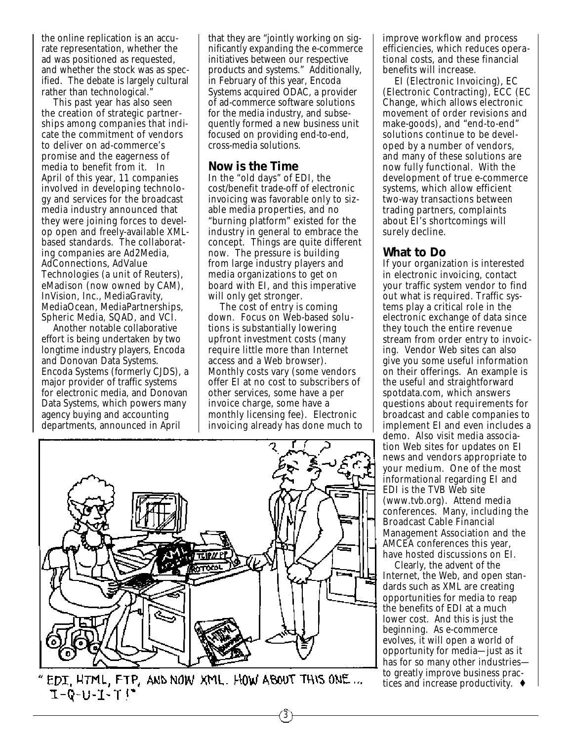the online replication is an accurate representation, whether the ad was positioned as requested, and whether the stock was as specified. The debate is largely cultural rather than technological."

This past year has also seen the creation of strategic partnerships among companies that indicate the commitment of vendors to deliver on ad-commerce's promise and the eagerness of media to benefit from it. In April of this year, 11 companies involved in developing technology and services for the broadcast media industry announced that they were joining forces to develop open and freely-available XMLbased standards. The collaborating companies are Ad2Media, AdConnections, AdValue Technologies (a unit of Reuters), eMadison (now owned by CAM), InVision, Inc., MediaGravity, MediaOcean, MediaPartnerships, Spheric Media, SQAD, and VCI.

Another notable collaborative effort is being undertaken by two longtime industry players, Encoda and Donovan Data Systems. Encoda Systems (formerly CJDS), a major provider of traffic systems for electronic media, and Donovan Data Systems, which powers many agency buying and accounting departments, announced in April

that they are "jointly working on significantly expanding the e-commerce initiatives between our respective products and systems." Additionally, in February of this year, Encoda Systems acquired ODAC, a provider of ad-commerce software solutions for the media industry, and subsequently formed a new business unit focused on providing end-to-end, cross-media solutions.

### **Now is the Time**

In the "old days" of EDI, the cost/benefit trade-off of electronic invoicing was favorable only to sizable media properties, and no "burning platform" existed for the industry in general to embrace the concept. Things are quite different now. The pressure is building from large industry players and media organizations to get on board with EI, and this imperative will only get stronger.

The cost of entry is coming down. Focus on Web-based solutions is substantially lowering upfront investment costs (many require little more than Internet access and a Web browser). Monthly costs vary (some vendors offer EI at no cost to subscribers of other services, some have a per invoice charge, some have a monthly licensing fee). Electronic invoicing already has done much to



EDI HTML, FTP, AND NOW XML. HOW ABOUT THIS ONE... **I-Q-U-I-T!** 

improve workflow and process efficiencies, which reduces operational costs, and these financial benefits will increase.

EI (Electronic Invoicing), EC (Electronic Contracting), ECC (EC Change, which allows electronic movement of order revisions and make-goods), and "end-to-end" solutions continue to be developed by a number of vendors, and many of these solutions are now fully functional. With the development of true e-commerce systems, which allow efficient two-way transactions between trading partners, complaints about EI's shortcomings will surely decline.

## **What to Do**

If your organization is interested in electronic invoicing, contact your traffic system vendor to find out what is required. Traffic systems play a critical role in the electronic exchange of data since they touch the entire revenue stream from order entry to invoicing. Vendor Web sites can also give you some useful information on their offerings. An example is the useful and straightforward spotdata.com, which answers questions about requirements for broadcast and cable companies to implement EI and even includes a demo. Also visit media association Web sites for updates on EI news and vendors appropriate to your medium. One of the most informational regarding EI and EDI is the TVB Web site (www.tvb.org). Attend media conferences. Many, including the Broadcast Cable Financial Management Association and the AMCEA conferences this year, have hosted discussions on EI.

Clearly, the advent of the Internet, the Web, and open standards such as XML are creating opportunities for media to reap the benefits of EDI at a much lower cost. And this is just the beginning. As e-commerce evolves, it will open a world of opportunity for media—just as it has for so many other industries to greatly improve business practices and increase productivity. ♦